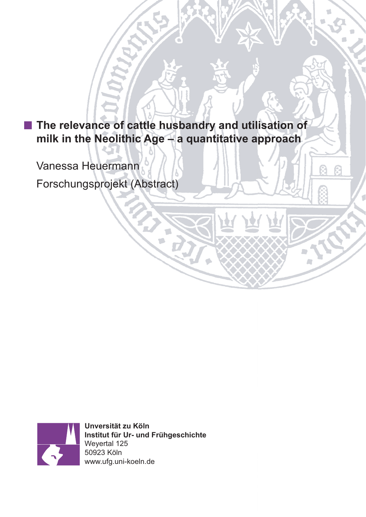**The relevance of cattle husbandry and utilisation of milk in the Neolithic Age – a quantitative approach**

Vanessa Heuermann

Forschungsprojekt (Abstract)



**Unversität zu Köln Institut für Ur- und Frühgeschichte** Weyertal 125 50923 Köln www.ufg.uni-koeln.de